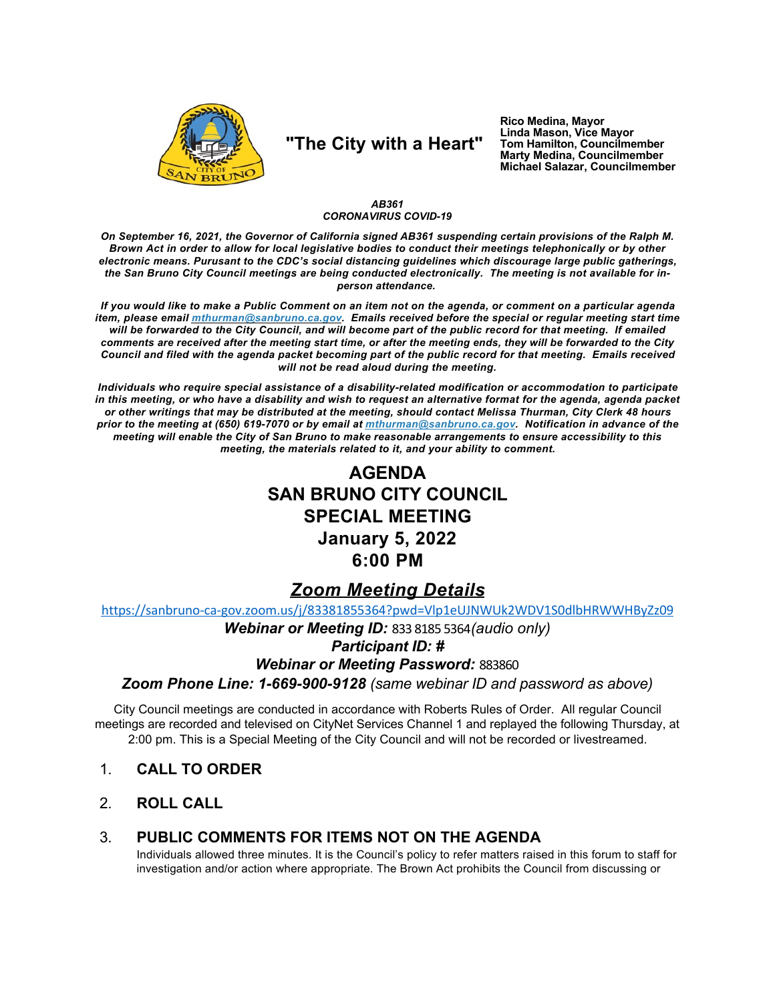

# "The City with a Heart"

Rico Medina, Mayor Linda Mason, Vice Mayor Tom Hamilton, Councilmember<br>Marty Medina, Councilmember Michael Salazar, Councilmember

#### AB361 **CORONAVIRUS COVID-19**

On September 16, 2021, the Governor of California signed AB361 suspending certain provisions of the Ralph M. Brown Act in order to allow for local legislative bodies to conduct their meetings telephonically or by other electronic means. Purusant to the CDC's social distancing guidelines which discourage large public gatherings, the San Bruno City Council meetings are being conducted electronically. The meeting is not available for inperson attendance.

If you would like to make a Public Comment on an item not on the agenda, or comment on a particular agenda item, please email mthurman@sanbruno.ca.gov. Emails received before the special or regular meeting start time will be forwarded to the City Council, and will become part of the public record for that meeting. If emailed comments are received after the meeting start time, or after the meeting ends, they will be forwarded to the City Council and filed with the agenda packet becoming part of the public record for that meeting. Emails received will not be read aloud during the meeting.

Individuals who require special assistance of a disability-related modification or accommodation to participate in this meeting, or who have a disability and wish to request an alternative format for the agenda, agenda packet or other writings that may be distributed at the meeting, should contact Melissa Thurman, City Clerk 48 hours prior to the meeting at (650) 619-7070 or by email at mthurman@sanbruno.ca.gov. Notification in advance of the meeting will enable the City of San Bruno to make reasonable arrangements to ensure accessibility to this meeting, the materials related to it, and your ability to comment.

# **AGENDA SAN BRUNO CITY COUNCIL SPECIAL MEETING January 5, 2022** 6:00 PM

### **Zoom Meeting Details**

https://sanbruno-ca-gov.zoom.us/j/83381855364?pwd=Vlp1eUJNWUk2WDV1S0dlbHRWWHByZz09

### Webinar or Meeting ID: 833 8185 5364 (audio only) **Participant ID: # Webinar or Meeting Password: 883860** Zoom Phone Line: 1-669-900-9128 (same webinar ID and password as above)

City Council meetings are conducted in accordance with Roberts Rules of Order. All regular Council meetings are recorded and televised on CityNet Services Channel 1 and replayed the following Thursday, at 2:00 pm. This is a Special Meeting of the City Council and will not be recorded or livestreamed.

- $1$ **CALL TO ORDER**
- $2<sup>1</sup>$ **ROLL CALL**

#### PUBLIC COMMENTS FOR ITEMS NOT ON THE AGENDA  $3_{-}$

Individuals allowed three minutes. It is the Council's policy to refer matters raised in this forum to staff for investigation and/or action where appropriate. The Brown Act prohibits the Council from discussing or